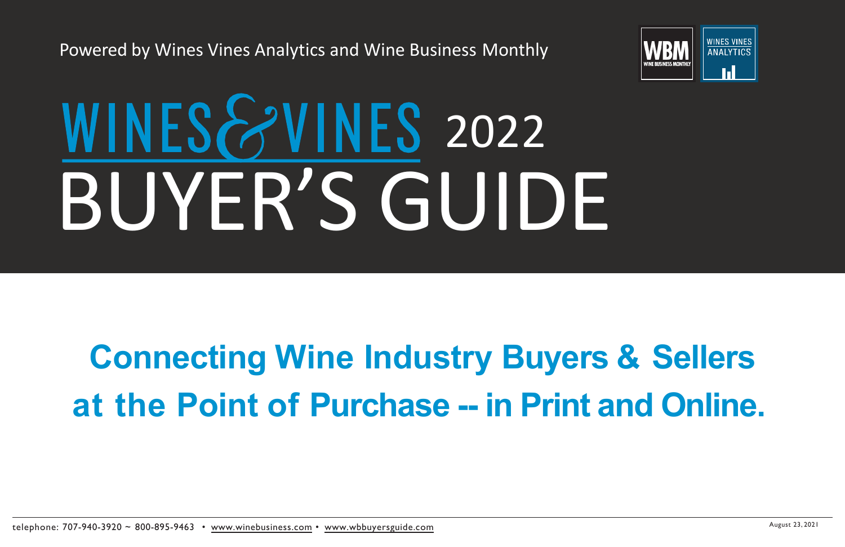Powered by Wines Vines Analytics and Wine Business Monthly



# 2022 BUYER'S GUIDE

# **Connecting Wine Industry Buyers & Sellers at the Point of Purchase -- in Print and Online.**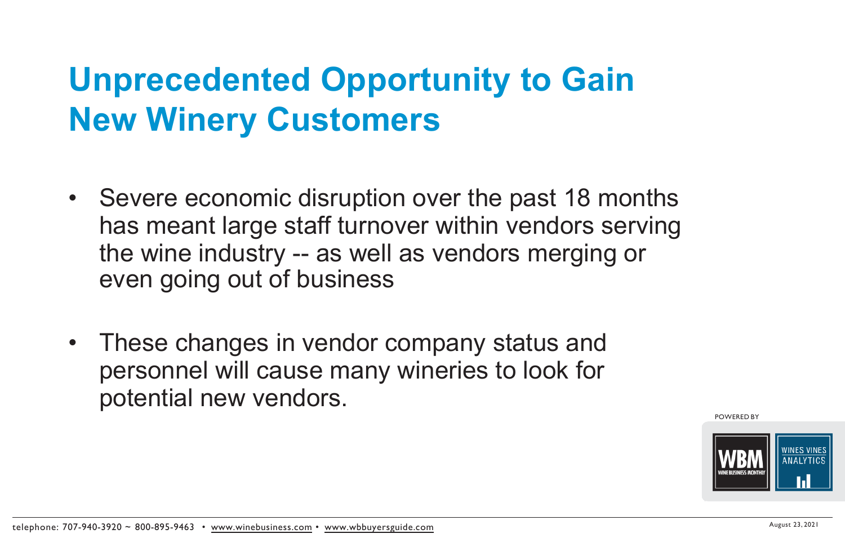# **Unprecedented Opportunity to Gain New Winery Customers**

- Severe economic disruption over the past 18 months has meant large staff turnover within vendors serving the wine industry -- as well as vendors merging or even going out of business
- These changes in vendor company status and personnel will cause many wineries to look for potential new vendors.

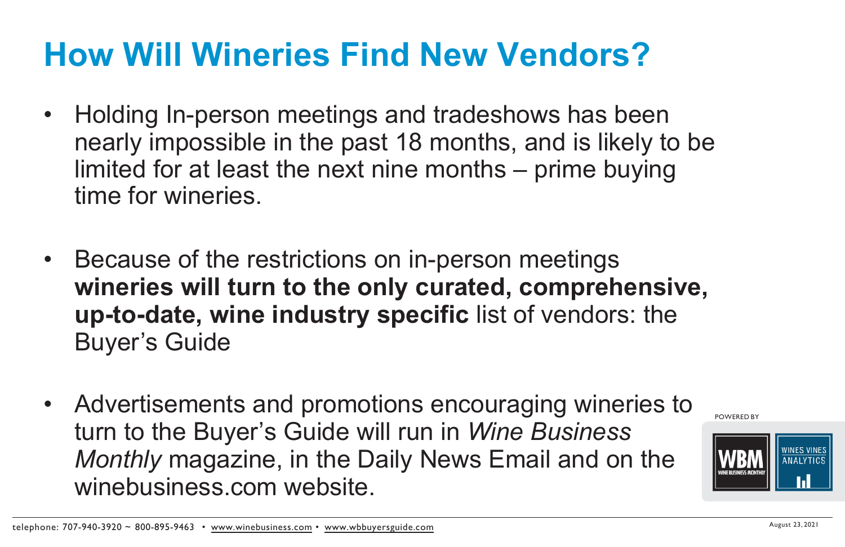### **How Will Wineries Find New Vendors?**

- Holding In-person meetings and tradeshows has been nearly impossible in the past 18 months, and is likely to be limited for at least the next nine months – prime buying time for wineries.
- Because of the restrictions on in-person meetings **wineries will turn to the only curated, comprehensive, up-to-date, wine industry specific** list of vendors: the Buyer's Guide
- Advertisements and promotions encouraging wineries to turn to the Buyer's Guide will run in *Wine Business Monthly* magazine, in the Daily News Email and on the winebusiness.com website.

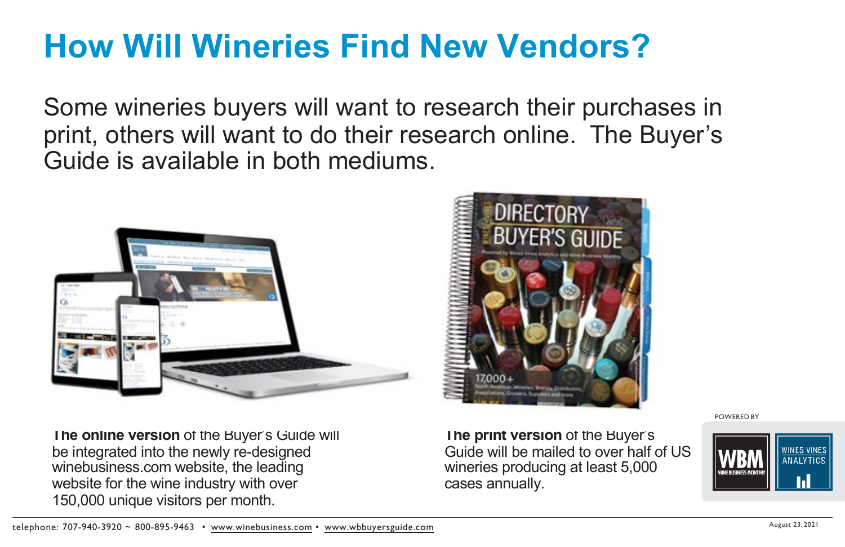# **How Will Wineries Find New Vendors?**

Some wineries buyers will want to research their purchases in print, others will want to do their research online. The Buyer's Guide is available in both mediums.



**The online version** of the Buyer's Guide will be integrated into the newly re-designed winebusiness.com website, the leading website for the wine industry with over 150,000 unique visitors per month.



**The print version** of the Buyer's Guide will be mailed to over half of US wineries producing at least 5,000 cases annually.

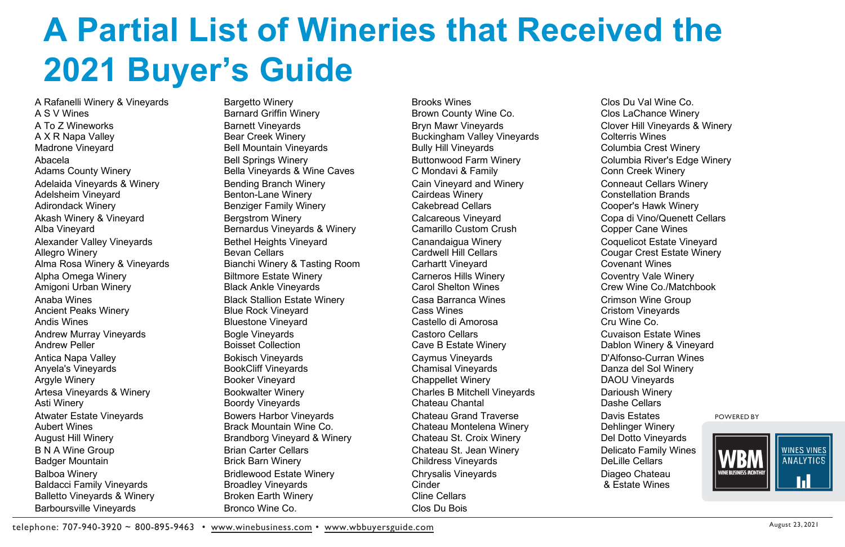### **A Partial List of Wineries that Received the 2021 Buyer's Guide**

A Rafanelli Winery & Vineyards A S V Wines A To Z Wineworks A X R Napa Valley Madrone Vineyard Abacela Adams County Winery Adelaida Vineyards & Winery Adelsheim Vineyard Adirondack Winery Akash Winery & Vineyard Alba Vineyard Alexander Valley Vineyards Allegro Winery Alma Rosa Winery & Vineyards Alpha Omega Winery Amigoni Urban Winery Anaba Wines Ancient Peaks Winery Andis Wines Andrew Murray Vineyards Andrew Peller Antica Napa Valley Anyela's Vineyards Argyle Winery Artesa Vineyards & Winery Asti Winery Atwater Estate Vineyards Aubert Wines August Hill Winery B N A Wine Group Badger Mountain Balboa Winery Baldacci Family Vineyards Balletto Vineyards & Winery Barboursville Vineyards

Bargetto Winery Barnard Griffin Winery Barnett Vineyards Bear Creek Winery Bell Mountain Vineyards Bell Springs Winery Bella Vineyards & Wine Caves Bending Branch Winery Benton-Lane Winery Benziger Family Winery Bergstrom Winery Bernardus Vineyards & Winery Bethel Heights Vineyard Bevan Cellars Bianchi Winery & Tasting Room Biltmore Estate Winery Black Ankle Vineyards Black Stallion Estate Winery Blue Rock Vineyard Bluestone Vineyard Bogle Vineyards Boisset Collection Bokisch Vineyards BookCliff Vineyards Booker Vineyard Bookwalter Winery Boordy Vineyards Bowers Harbor Vineyards Brack Mountain Wine Co. Brandborg Vineyard & Winery Brian Carter Cellars Brick Barn Winery Bridlewood Estate Winery Broadley Vineyards Broken Earth Winery

Brooks Wines Brown County Wine Co. Bryn Mawr Vineyards Buckingham Valley Vineyards Bully Hill Vineyards Buttonwood Farm Winery C Mondavi & Family Cain Vineyard and Winery Cairdeas Winery Cakebread Cellars Calcareous Vineyard Camarillo Custom Crush Canandaigua Winery Cardwell Hill Cellars Carhartt Vineyard Carneros Hills Winery Carol Shelton Wines Casa Barranca Wines Cass Wines Castello di Amorosa Castoro Cellars Cave B Estate Winery Caymus Vineyards Chamisal Vineyards Chappellet Winery Charles B Mitchell Vineyards Chateau Chantal Chateau Grand Traverse Chateau Montelena Winery Chateau St. Croix Winery Chateau St. Jean Winery Childress Vineyards Chrysalis Vineyards **Cinder** Cline Cellars Clos Du Bois

Clos Du Val Wine Co. Clos LaChance Winery Clover Hill Vineyards & Winery Colterris Wines Columbia Crest Winery Columbia River's Edge Winery Conn Creek Winery Conneaut Cellars Winery Constellation Brands Cooper's Hawk Winery Copa di Vino/Quenett Cellars Copper Cane Wines Coquelicot Estate Vineyard Cougar Crest Estate Winery Covenant Wines Coventry Vale Winery Crew Wine Co./Matchbook Crimson Wine Group Cristom Vineyards Cru Wine Co. Cuvaison Estate Wines Dablon Winery & Vineyard D'Alfonso-Curran Wines Danza del Sol Winerv DAOU Vineyards Darioush Winery Dashe Cellars Davis Estates Dehlinger Winery Del Dotto Vineyards Delicato Family Wines DeLille Cellars Diageo Chateau & Estate Wines

POWERED BY



Bronco Wine Co.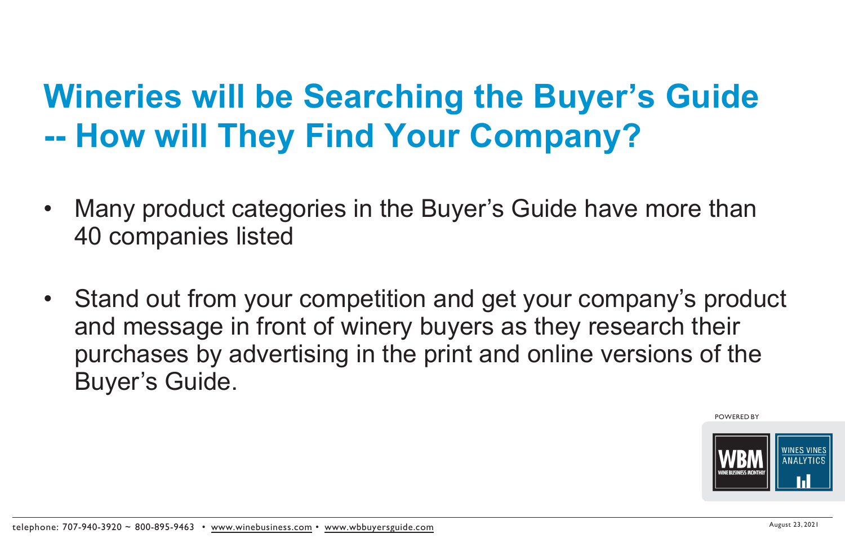# **Wineries will be Searching the Buyer's Guide -- How will They Find Your Company?**

- Many product categories in the Buyer's Guide have more than 40 companies listed
- Stand out from your competition and get your company's product and message in front of winery buyers as they research their purchases by advertising in the print and online versions of the Buyer's Guide.

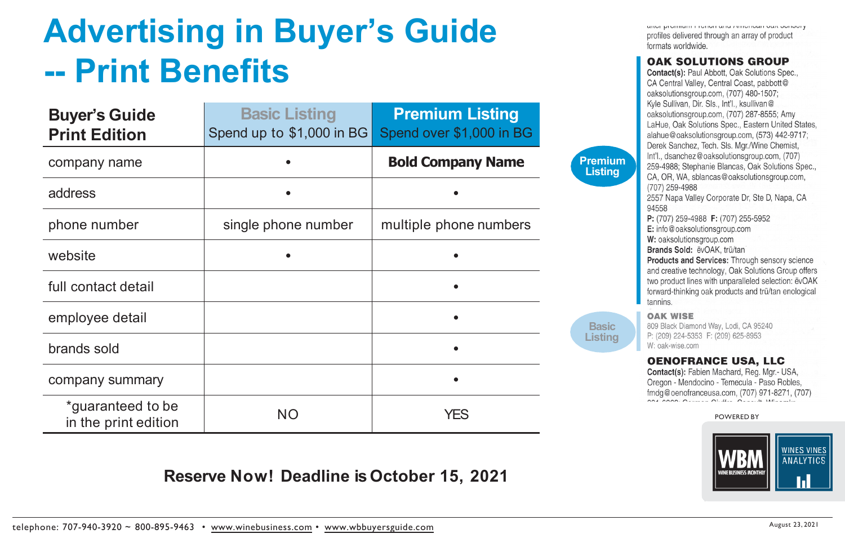### **Advertising in Buyer's Guide -- Print Benefits**

| <b>Buyer's Guide</b><br><b>Print Edition</b> | <b>Basic Listing</b><br>Spend up to \$1,000 in BG | <b>Premium Listing</b><br>Spend over \$1,000 in BG |
|----------------------------------------------|---------------------------------------------------|----------------------------------------------------|
| company name                                 |                                                   | <b>Bold Company Name</b>                           |
| address                                      |                                                   |                                                    |
| phone number                                 | single phone number                               | multiple phone numbers                             |
| website                                      |                                                   |                                                    |
| full contact detail                          |                                                   |                                                    |
| employee detail                              |                                                   |                                                    |
| brands sold                                  |                                                   |                                                    |
| company summary                              |                                                   |                                                    |
| *guaranteed to be<br>in the print edition    | <b>NO</b>                                         | <b>YES</b>                                         |

#### **Reserve Now! Deadline is October 15, 2021**

profiles delivered through an array of product formats worldwide.

#### **OAK SOLUTIONS GROUP**

Contact(s): Paul Abbott, Oak Solutions Spec., CA Central Valley, Central Coast, pabbott@ oaksolutionsgroup.com, (707) 480-1507; Kyle Sullivan, Dir. Sls., Int'l., ksullivan@ oaksolutionsgroup.com, (707) 287-8555; Amy LaHue, Oak Solutions Spec., Eastern United States, alahue@oaksolutionsgroup.com, (573) 442-9717; Derek Sanchez, Tech. Sls. Mgr./Wine Chemist, Int'l., dsanchez@oaksolutionsgroup.com, (707) 259-4988; Stephanie Blancas, Oak Solutions Spec., CA, OR, WA, sblancas@oaksolutionsgroup.com,  $(707)$  259-4988 2557 Napa Valley Corporate Dr, Ste D, Napa, CA 94558 P: (707) 259-4988 F: (707) 255-5952 E: info@oaksolutionsgroup.com W: oaksolutionsgroup.com<br>Brands Sold: evOAK, trū/tan Products and Services: Through sensory science and creative technology, Oak Solutions Group offers two product lines with unparalleled selection: evOAK forward-thinking oak products and trü/tan enological tannins.

**OAK WISE** 

**Premium Listing**

> **Basic Listing**

809 Black Diamond Way, Lodi, CA 95240 P: (209) 224-5353 F: (209) 625-8953 W: oak-wise.com

#### **OENOFRANCE USA, LLC**

Contact(s): Fabien Machard, Reg. Mgr.- USA, Oregon - Mendocino - Temecula - Paso Robles, fmdg@oenofranceusa.com, (707) 971-8271, (707)

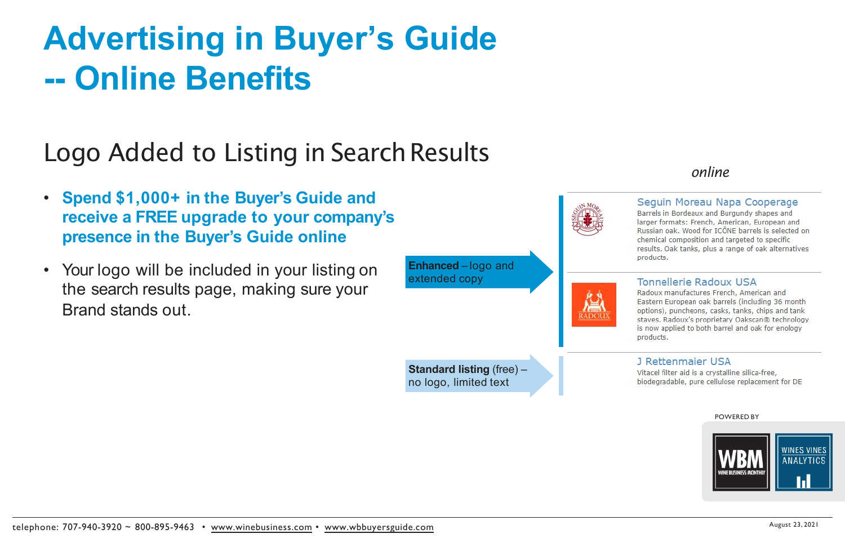# **Advertising in Buyer's Guide -- Online Benefits**

### Logo Added to Listing in Search Results

- **Spend \$1,000+ in the Buyer's Guide and receive a FREE upgrade to your company's presence in the Buyer's Guide online**
- Your logo will be included in your listing on the search results page, making sure your Brand stands out.







Seguin Moreau Napa Cooperage Barrels in Bordeaux and Burgundy shapes and larger formats: French, American, European and<br>Russian oak. Wood for ICÔNE barrels is selected on chemical composition and targeted to specific<br>results. Oak tanks, plus a range of oak alternatives products.



Radoux manufactures French, American and Eastern European oak barrels (including 36 month<br>options), puncheons, casks, tanks, chips and tank staves. Radoux's proprietary Oakscan® technology<br>is now applied to both barrel and oak for enology products.

#### J Rettenmaier USA

Vitacel filter aid is a crystalline silica-free, biodegradable, pure cellulose replacement for DE

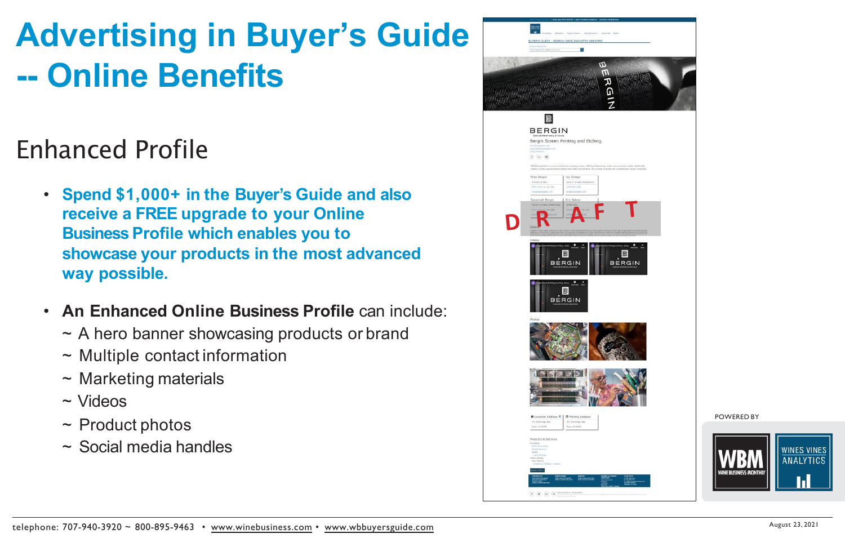# **Advertising in Buyer's Guide -- Online Benefits**

### Enhanced Profile

- **Spend \$1,000+ in the Buyer's Guide and also receive a FREE upgrade to your Online Business Profile which enables you to showcase your products in the most advanced way possible.**
- **An Enhanced Online Business Profile** can include:
	- ~ A hero banner showcasing products or brand
	- ~ Multiple contact information
	- ~ Marketing materials
	- ~ Videos
	- $\sim$  Product photos
	- ~ Social media handles



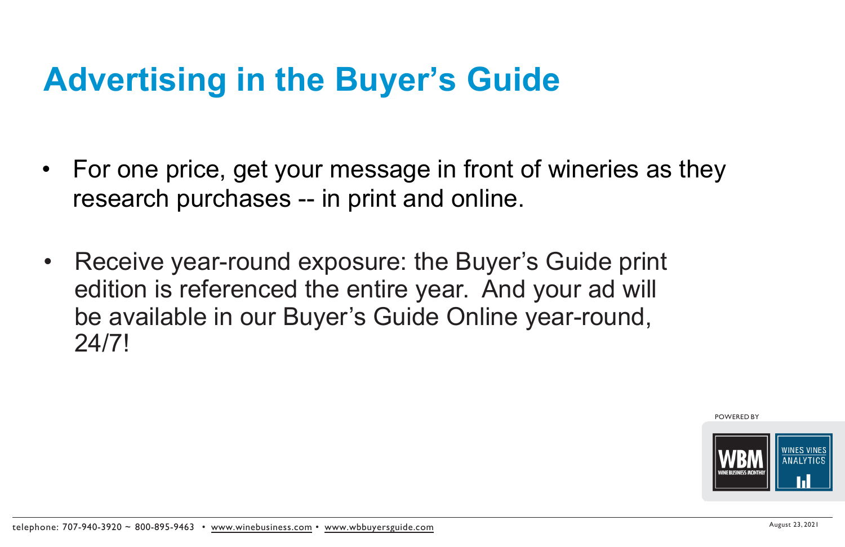# **Advertising in the Buyer's Guide**

- For one price, get your message in front of wineries as they research purchases -- in print and online.
- Receive year-round exposure: the Buyer's Guide print edition is referenced the entire year. And your ad will be available in our Buyer's Guide Online year-round, 24/7!



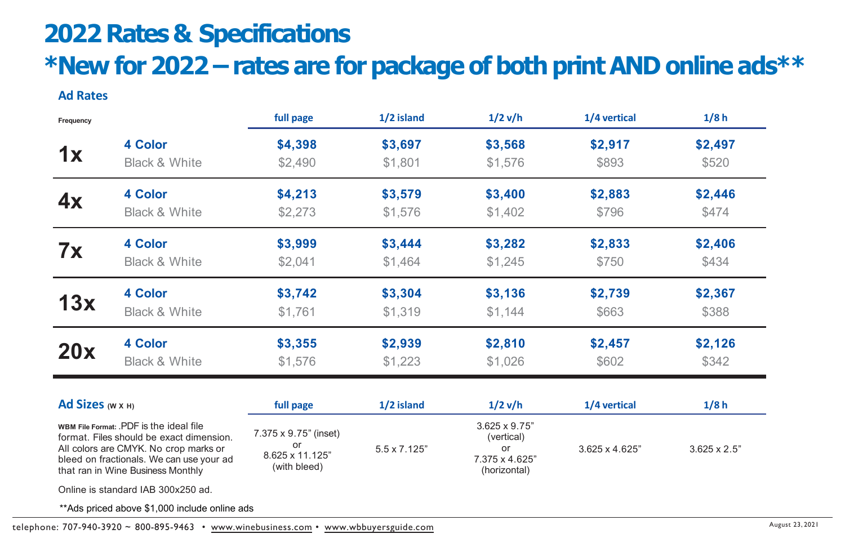### **2022 Rates & Specifications \*New for 2022 – rates are for package of both print AND online ads\*\***

|                                                                                                                                                                                                               |                                    | full page                                                      | 1/2 island   | $1/2$ v/h                                                                   | 1/4 vertical           | 1/8h                |
|---------------------------------------------------------------------------------------------------------------------------------------------------------------------------------------------------------------|------------------------------------|----------------------------------------------------------------|--------------|-----------------------------------------------------------------------------|------------------------|---------------------|
| 1x                                                                                                                                                                                                            | 4 Color                            | \$4,398                                                        | \$3,697      | \$3,568                                                                     | \$2,917                | \$2,497             |
|                                                                                                                                                                                                               | Black & White                      | \$2,490                                                        | \$1.801      | \$1,576                                                                     | \$893                  | \$520               |
| 4x                                                                                                                                                                                                            | 4 Color                            | \$4,213                                                        | \$3,579      | \$3,400                                                                     | \$2,883                | \$2,446             |
|                                                                                                                                                                                                               | <b>Black &amp; White</b>           | \$2,273                                                        | \$1,576      | \$1,402                                                                     | \$796                  | \$474               |
| <b>7x</b>                                                                                                                                                                                                     | 4 Color                            | \$3,999                                                        | \$3,444      | \$3,282                                                                     | \$2,833                | \$2,406             |
|                                                                                                                                                                                                               | <b>Black &amp; White</b>           | \$2,041                                                        | \$1,464      | \$1,245                                                                     | \$750                  | \$434               |
| 13x                                                                                                                                                                                                           | 4 Color                            | \$3,742                                                        | \$3,304      | \$3,136                                                                     | \$2,739                | \$2,367             |
|                                                                                                                                                                                                               | <b>Black &amp; White</b>           | \$1,761                                                        | \$1,319      | \$1,144                                                                     | \$663                  | \$388               |
| 20x                                                                                                                                                                                                           | 4 Color                            | \$3,355                                                        | \$2,939      | \$2,810                                                                     | \$2,457                | \$2,126             |
|                                                                                                                                                                                                               | <b>Black &amp; White</b>           | \$1,576                                                        | \$1,223      | \$1,026                                                                     | \$602                  | \$342               |
| Ad Sizes (W X H)                                                                                                                                                                                              |                                    | full page                                                      | 1/2 island   | $1/2$ v/h                                                                   | 1/4 vertical           | 1/8h                |
| WBM File Format: .PDF is the ideal file<br>format. Files should be exact dimension.<br>All colors are CMYK. No crop marks or<br>bleed on fractionals. We can use your ad<br>that ran in Wine Business Monthly |                                    | 7.375 x 9.75" (inset)<br>or<br>8.625 x 11.125"<br>(with bleed) | 5.5 x 7.125" | $3.625 \times 9.75$ "<br>(vertical)<br>or<br>7.375 x 4.625"<br>(horizontal) | $3.625 \times 4.625$ " | $3.625 \times 2.5"$ |
|                                                                                                                                                                                                               | Online is standard IAB 300x250 ad. |                                                                |              |                                                                             |                        |                     |

telephone: 707-940-3920 ~ 800-895-9463 • www.winebusiness.com • www.wbbuyersguide.com